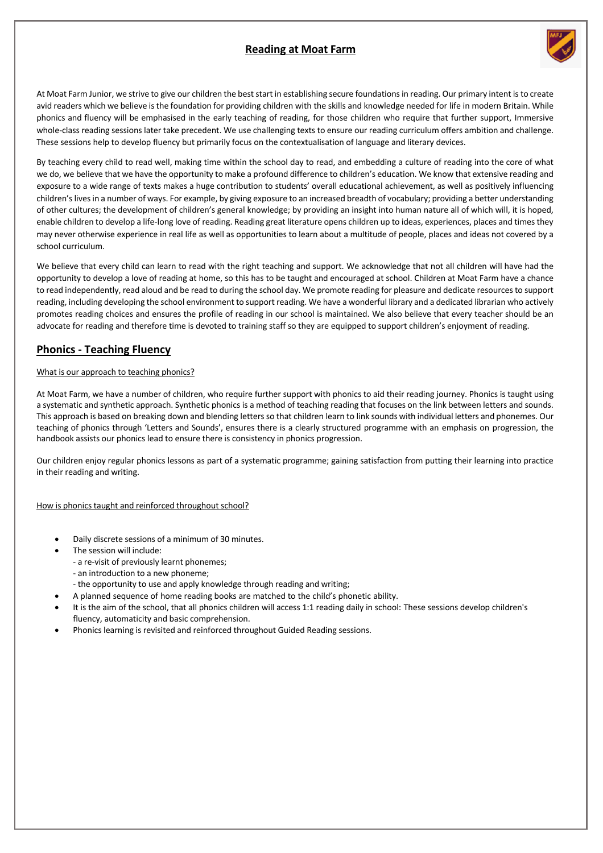# **Reading at Moat Farm**



At Moat Farm Junior, we strive to give our children the best start in establishing secure foundations in reading. Our primary intent is to create avid readers which we believe is the foundation for providing children with the skills and knowledge needed for life in modern Britain. While phonics and fluency will be emphasised in the early teaching of reading, for those children who require that further support, Immersive whole-class reading sessions later take precedent. We use challenging texts to ensure our reading curriculum offers ambition and challenge. These sessions help to develop fluency but primarily focus on the contextualisation of language and literary devices.

By teaching every child to read well, making time within the school day to read, and embedding a culture of reading into the core of what we do, we believe that we have the opportunity to make a profound difference to children's education. We know that extensive reading and exposure to a wide range of texts makes a huge contribution to students' overall educational achievement, as well as positively influencing children's lives in a number of ways. For example, by giving exposure to an increased breadth of vocabulary; providing a better understanding of other cultures; the development of children's general knowledge; by providing an insight into human nature all of which will, it is hoped, enable children to develop a life-long love of reading. Reading great literature opens children up to ideas, experiences, places and times they may never otherwise experience in real life as well as opportunities to learn about a multitude of people, places and ideas not covered by a school curriculum.

We believe that every child can learn to read with the right teaching and support. We acknowledge that not all children will have had the opportunity to develop a love of reading at home, so this has to be taught and encouraged at school. Children at Moat Farm have a chance to read independently, read aloud and be read to during the school day. We promote reading for pleasure and dedicate resources to support reading, including developing the school environment to support reading. We have a wonderful library and a dedicated librarian who actively promotes reading choices and ensures the profile of reading in our school is maintained. We also believe that every teacher should be an advocate for reading and therefore time is devoted to training staff so they are equipped to support children's enjoyment of reading.

# **Phonics - Teaching Fluency**

#### What is our approach to teaching phonics?

At Moat Farm, we have a number of children, who require further support with phonics to aid their reading journey. Phonics is taught using a systematic and synthetic approach. Synthetic phonics is a method of teaching reading that focuses on the link between letters and sounds. This approach is based on breaking down and blending letters so that children learn to link sounds with individual letters and phonemes. Our teaching of phonics through 'Letters and Sounds', ensures there is a clearly structured programme with an emphasis on progression, the handbook assists our phonics lead to ensure there is consistency in phonics progression.

Our children enjoy regular phonics lessons as part of a systematic programme; gaining satisfaction from putting their learning into practice in their reading and writing.

How is phonics taught and reinforced throughout school?

- Daily discrete sessions of a minimum of 30 minutes.
- The session will include:
	- a re-visit of previously learnt phonemes;
	- an introduction to a new phoneme;
	- the opportunity to use and apply knowledge through reading and writing;
- A planned sequence of home reading books are matched to the child's phonetic ability.
- It is the aim of the school, that all phonics children will access 1:1 reading daily in school: These sessions develop children's fluency, automaticity and basic comprehension.
- Phonics learning is revisited and reinforced throughout Guided Reading sessions.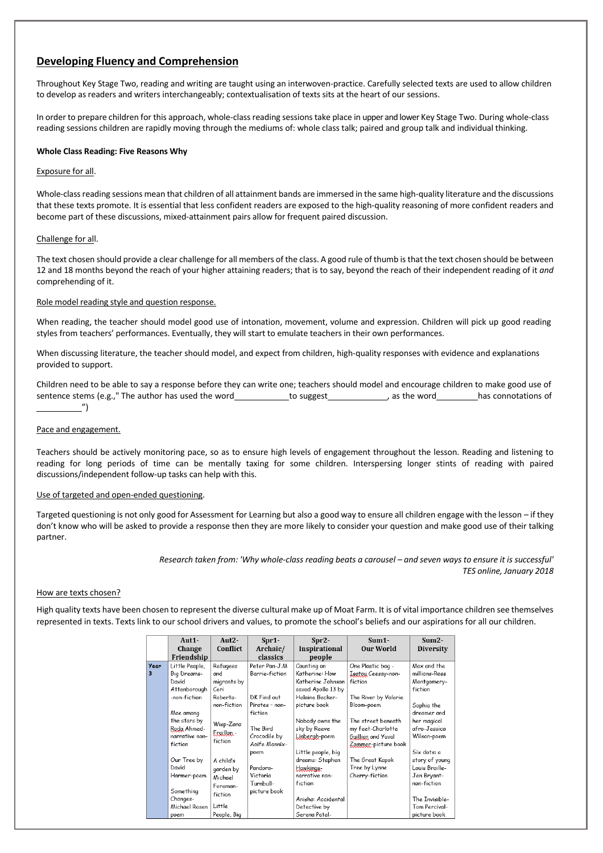## **Developing Fluency and Comprehension**

Throughout Key Stage Two, reading and writing are taught using an interwoven-practice. Carefully selected texts are used to allow children to develop as readers and writers interchangeably; contextualisation of texts sits at the heart of our sessions.

In order to prepare children for this approach, whole-class reading sessions take place in upper and lower Key Stage Two. During whole-class reading sessions children are rapidly moving through the mediums of: whole class talk; paired and group talk and individual thinking.

#### **Whole Class Reading: Five Reasons Why**

#### Exposure for all.

Whole-classreading sessions mean that children of all attainment bands are immersed in the same high-quality literature and the discussions that these texts promote. It is essential that less confident readers are exposed to the high-quality reasoning of more confident readers and become part of these discussions, mixed-attainment pairs allow for frequent paired discussion.

#### Challenge for all.

The text chosen should provide a clear challenge for all members of the class. A good rule of thumb isthat the text chosen should be between 12 and 18 months beyond the reach of your higher attaining readers; that is to say, beyond the reach of their independent reading of it *and* comprehending of it.

#### Role model reading style and question response.

When reading, the teacher should model good use of intonation, movement, volume and expression. Children will pick up good reading styles from teachers' performances. Eventually, they will start to emulate teachers in their own performances.

When discussing literature, the teacher should model, and expect from children, high-quality responses with evidence and explanations provided to support.

Children need to be able to say a response before they can write one; teachers should model and encourage children to make good use of sentence stems (e.g.," The author has used the word to suggest the word has connotations of ")

#### Pace and engagement.

Teachers should be actively monitoring pace, so as to ensure high levels of engagement throughout the lesson. Reading and listening to reading for long periods of time can be mentally taxing for some children. Interspersing longer stints of reading with paired discussions/independent follow-up tasks can help with this.

#### Use of targeted and open-ended questioning.

Targeted questioning is not only good for Assessment for Learning but also a good way to ensure all children engage with the lesson – if they don't know who will be asked to provide a response then they are more likely to consider your question and make good use of their talking partner.

> Research taken from: 'Why whole-class reading beats a carousel - and seven ways to ensure it is successful' *TES online, January 2018*

#### How are texts chosen?

High quality texts have been chosen to represent the diverse cultural make up of Moat Farm. It is of vital importance children see themselves represented in texts. Texts link to our school drivers and values, to promote the school's beliefs and our aspirations for all our children.

|           | Aut1-                                                                                                                                                                                  | Aut <sub>2</sub> -<br>Conflict                                                                                                               | $Spr1-$<br>Archaic/                                                                                                                                      | $Spr2-$<br><b>Inspirational</b>                                                                                                                                                                                                         | $Sum1 -$<br><b>Our World</b>                                                                                                                                                                                                           | $Sum2 -$                                                                                                                                                                                            |
|-----------|----------------------------------------------------------------------------------------------------------------------------------------------------------------------------------------|----------------------------------------------------------------------------------------------------------------------------------------------|----------------------------------------------------------------------------------------------------------------------------------------------------------|-----------------------------------------------------------------------------------------------------------------------------------------------------------------------------------------------------------------------------------------|----------------------------------------------------------------------------------------------------------------------------------------------------------------------------------------------------------------------------------------|-----------------------------------------------------------------------------------------------------------------------------------------------------------------------------------------------------|
|           | Change<br>Friendship                                                                                                                                                                   |                                                                                                                                              | classics                                                                                                                                                 | people                                                                                                                                                                                                                                  |                                                                                                                                                                                                                                        | <b>Diversity</b>                                                                                                                                                                                    |
| Year<br>3 | Little People,<br>Big Dreams-<br>David<br>Attenborough<br>-non-fiction<br>Mae among<br>the stars by<br>Roda Ahmed-<br>narrative non-<br>fiction<br>Our Tree by<br>David<br>Harmer-poem | Refugees<br>and<br>migrants by<br>Ceri<br>Roberts-<br>non-fiction<br>Wisp-Zana<br>Ergiller -<br>fiction<br>A child's<br>garden by<br>Michael | Peter Pan-J.M<br>Barrie-fiction<br>DK Find out<br>Pirates - non-<br>fiction<br>The Bird<br>Crocodile by<br>Anife Mannix-<br>poem<br>Pandora-<br>Victoria | Counting on<br>Katherine: How<br>Katherine Johnson<br>saved Apollo 13 by<br>Helaine Becker-<br>picture book<br>Nobody owns the<br>sky by Reeve<br>Linbergh-poem<br>Little people, big<br>dreams: Stephen<br>Hawkings-<br>narrative non- | One Plastic bag -<br>Isatou Ceesay-non-<br>fiction<br>The River by Valerie<br>Bloom-poem<br>The street beneath<br>my feet-Charlotte<br>Guillian and Yuval<br>Zommer-picture book<br>The Great Kapok<br>Tree by Lynne<br>Cherry-fiction | Max and the<br>millions-Ross<br>Montgomery-<br>fiction<br>Sophia the<br>dreamer and<br>her magical<br>afro-Jessica<br>Wilson-poem<br>Six dots: a<br>story of young<br>Louis Braille-<br>Jen Bryant- |
|           | Something<br>Changes-<br>Michael Rosen<br>poem                                                                                                                                         | Foreman-<br>fiction<br>Little<br>People, Big                                                                                                 | Turnbull-<br>picture book                                                                                                                                | fiction<br>Anisha: Accidental<br>Detective by<br>Serena Patel-                                                                                                                                                                          |                                                                                                                                                                                                                                        | non-fiction<br>The Invisible-<br>Tom Percival-<br>picture book                                                                                                                                      |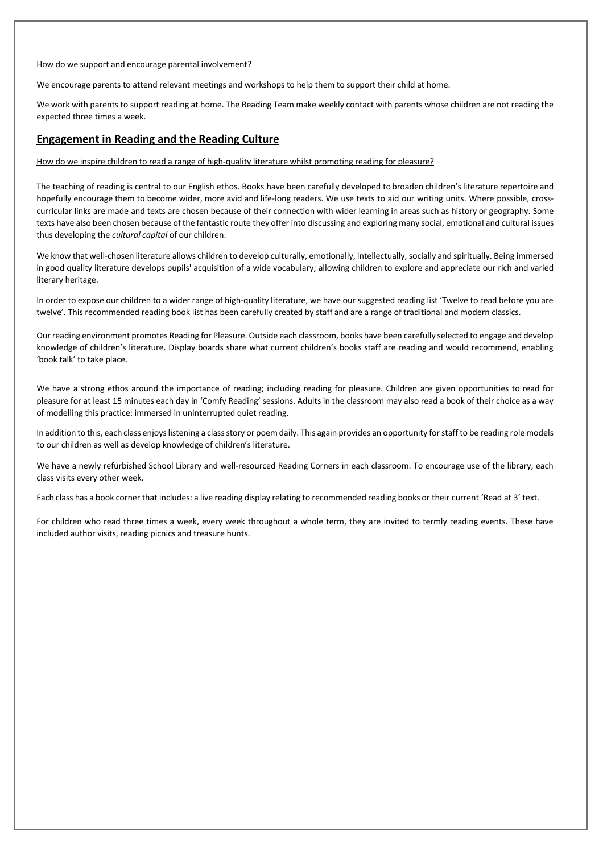#### How do we support and encourage parental involvement?

We encourage parents to attend relevant meetings and workshops to help them to support their child at home.

We work with parents to support reading at home. The Reading Team make weekly contact with parents whose children are not reading the expected three times a week.

## **Engagement in Reading and the Reading Culture**

How do we inspire children to read a range of high-quality literature whilst promoting reading for pleasure?

The teaching of reading is central to our English ethos. Books have been carefully developed to broaden children's literature repertoire and hopefully encourage them to become wider, more avid and life-long readers. We use texts to aid our writing units. Where possible, crosscurricular links are made and texts are chosen because of their connection with wider learning in areas such as history or geography. Some texts have also been chosen because of the fantastic route they offer into discussing and exploring many social, emotional and cultural issues thus developing the *cultural capital* of our children.

We know that well-chosen literature allows children to develop culturally, emotionally, intellectually, socially and spiritually. Being immersed in good quality literature develops pupils' acquisition of a wide vocabulary; allowing children to explore and appreciate our rich and varied literary heritage.

In order to expose our children to a wider range of high-quality literature, we have our suggested reading list 'Twelve to read before you are twelve'. This recommended reading book list has been carefully created by staff and are a range of traditional and modern classics.

Our reading environment promotes Reading for Pleasure. Outside each classroom, books have been carefully selected to engage and develop knowledge of children's literature. Display boards share what current children's books staff are reading and would recommend, enabling 'book talk' to take place.

We have a strong ethos around the importance of reading; including reading for pleasure. Children are given opportunities to read for pleasure for at least 15 minutes each day in 'Comfy Reading' sessions. Adults in the classroom may also read a book of their choice as a way of modelling this practice: immersed in uninterrupted quiet reading.

In addition to this, each class enjoyslistening a classstory or poem daily. This again provides an opportunity for staff to be reading role models to our children as well as develop knowledge of children's literature.

We have a newly refurbished School Library and well-resourced Reading Corners in each classroom. To encourage use of the library, each class visits every other week.

Each class has a book corner that includes: a live reading display relating to recommended reading books or their current 'Read at 3' text.

For children who read three times a week, every week throughout a whole term, they are invited to termly reading events. These have included author visits, reading picnics and treasure hunts.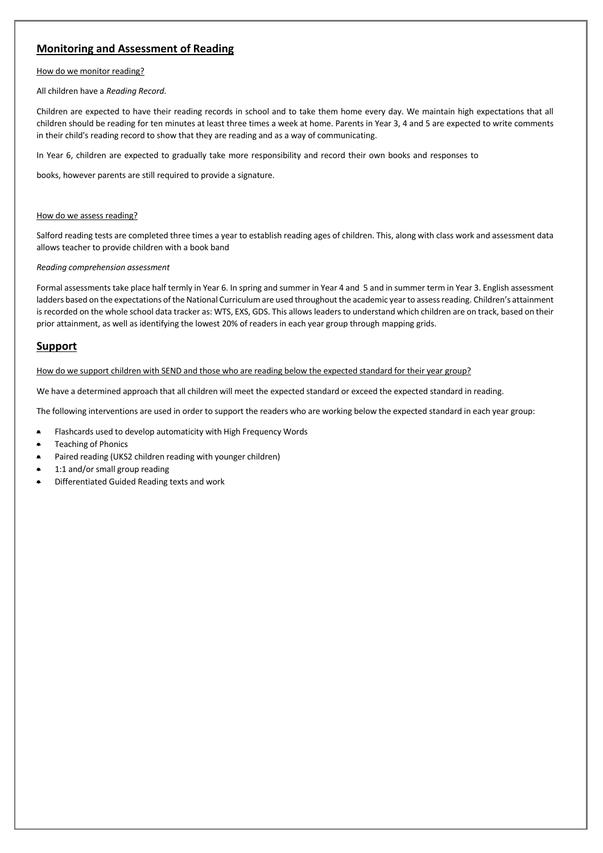# **Monitoring and Assessment of Reading**

#### How do we monitor reading?

All children have a *Reading Record*.

Children are expected to have their reading records in school and to take them home every day. We maintain high expectations that all children should be reading for ten minutes at least three times a week at home. Parents in Year 3, 4 and 5 are expected to write comments in their child's reading record to show that they are reading and as a way of communicating.

In Year 6, children are expected to gradually take more responsibility and record their own books and responses to

books, however parents are still required to provide a signature.

#### How do we assess reading?

Salford reading tests are completed three times a year to establish reading ages of children. This, along with class work and assessment data allows teacher to provide children with a book band

#### *Reading comprehension assessment*

Formal assessments take place half termly in Year 6. In spring and summer in Year 4 and 5 and in summer term in Year 3. English assessment ladders based on the expectations of the National Curriculum are used throughout the academic year to assess reading. Children's attainment is recorded on the whole school data tracker as: WTS, EXS, GDS. This allows leaders to understand which children are on track, based on their prior attainment, as well as identifying the lowest 20% of readers in each year group through mapping grids.

### **Support**

#### How do we support children with SEND and those who are reading below the expected standard for their year group?

We have a determined approach that all children will meet the expected standard or exceed the expected standard in reading.

The following interventions are used in order to support the readers who are working below the expected standard in each year group:

- Flashcards used to develop automaticity with High Frequency Words
- Teaching of Phonics
- Paired reading (UKS2 children reading with younger children)
- 1:1 and/or small group reading
- Differentiated Guided Reading texts and work